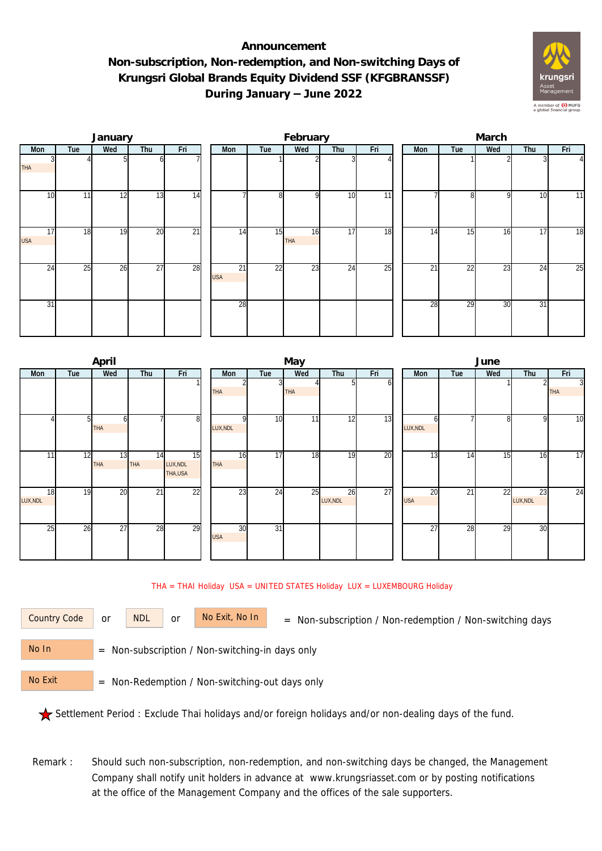## **Announcement Non-subscription, Non-redemption, and Non-switching Days of Krungsri Global Brands Equity Dividend SSF (KFGBRANSSF) During January – June 2022**



|                  |     | January |                 |                 |                  |                 | February  |                 |                 | March |                 |     |     |                |  |  |
|------------------|-----|---------|-----------------|-----------------|------------------|-----------------|-----------|-----------------|-----------------|-------|-----------------|-----|-----|----------------|--|--|
| Mon              | Tue | Wed     | Thu             | Fri             | Mon              | Tue             | Wed       | Thu             | Fri             | Mon   | Tue             | Wed | Thu | Fri            |  |  |
| <b>THA</b>       |     |         | ωI              |                 |                  |                 |           |                 |                 |       |                 |     |     | $\overline{4}$ |  |  |
| 10               | 11  | 12      | 13              | 14              |                  | 8               | οI        | 10              | $\overline{11}$ |       | 81              | 9   | 10  | 11             |  |  |
| 17<br><b>USA</b> | 18  | 19      | 20              | $\overline{21}$ | 14               | 15              | 16<br>THA | 17              | 18              | 14    | 15              | 16  | 17  | 18             |  |  |
| $2\overline{4}$  | 25  | 26      | $\overline{27}$ | 28              | 21<br><b>USA</b> | $\overline{22}$ | 23        | $2\overline{4}$ | $\overline{25}$ | 21    | $2\overline{2}$ | 23  | 24  | 25             |  |  |
| 31               |     |         |                 |                 | 28               |                 |           |                 |                 | 28    | 29              | 30  | 31  |                |  |  |

|                |                | April     |                  |                           |                  |                 | May        |                |     | June                          |     |     |                |                              |  |  |
|----------------|----------------|-----------|------------------|---------------------------|------------------|-----------------|------------|----------------|-----|-------------------------------|-----|-----|----------------|------------------------------|--|--|
| Mon            | Tue            | Wed       | Thu              | Fri                       | Mon              | Tue             | Wed        | Thu            | Fri | Mon                           | Tue | Wed | Thu            | Fri                          |  |  |
|                |                |           |                  |                           | THA              |                 | <b>THA</b> | 51             | οı  |                               |     |     |                | $\overline{3}$<br><b>THA</b> |  |  |
|                | 5 <sub>l</sub> | h<br>THA  |                  | 8                         | LUX, NDL         | 10 <sup>1</sup> | 11         | 12             | 13  | n<br>LUX, NDL                 |     | 8   | 9              | 10                           |  |  |
| 11             | 12             | 13<br>THA | 14<br><b>THA</b> | 15<br>LUX, NDL<br>THA,USA | 16<br>THA        | 17              | 18         | 19             | 20  | $1\overline{3}$               | 14  | 15  | 16             | $\overline{17}$              |  |  |
| 18<br>LUX, NDL | 19             | 20        | 21               | $\overline{22}$           | 23               | 24              | 25         | 26<br>LUX, NDL | 27  | $\overline{20}$<br><b>USA</b> | 21  | 22  | 23<br>LUX, NDL | $\overline{24}$              |  |  |
| 25             | 26             | 27        | 28               | 29                        | 30<br><b>USA</b> | $\overline{31}$ |            |                |     | 27                            | 28  | 29  | 30             |                              |  |  |

## THA = THAI Holiday USA = UNITED STATES Holiday LUX = LUXEMBOURG Holiday

or NDL or

Country Code or NDL or No Exit, No In = Non-subscription / Non-redemption / Non-switching days

 = Non-subscription / Non-switching-in days only No In

 = Non-Redemption / Non-switching-out days only No Exit

Settlement Period : Exclude Thai holidays and/or foreign holidays and/or non-dealing days of the fund.

Remark : Should such non-subscription, non-redemption, and non-switching days be changed, the Management Company shall notify unit holders in advance at www.krungsriasset.com or by posting notifications at the office of the Management Company and the offices of the sale supporters.